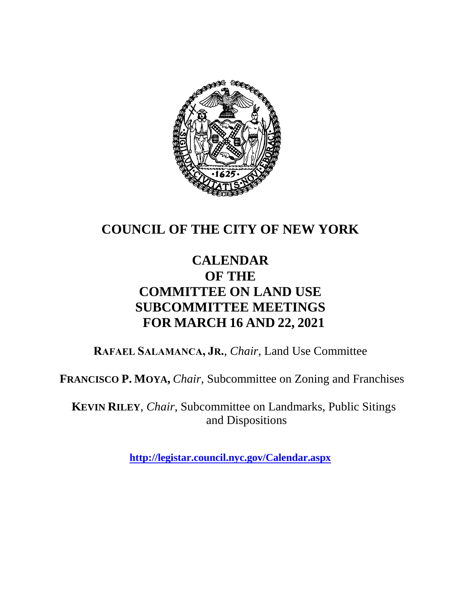

### **COUNCIL OF THE CITY OF NEW YORK**

### **CALENDAR OF THE COMMITTEE ON LAND USE SUBCOMMITTEE MEETINGS FOR MARCH 16 AND 22, 2021**

**RAFAEL SALAMANCA, JR.**, *Chair*, Land Use Committee

**FRANCISCO P. MOYA,** *Chair,* Subcommittee on Zoning and Franchises

**KEVIN RILEY**, *Chair*, Subcommittee on Landmarks, Public Sitings and Dispositions

**<http://legistar.council.nyc.gov/Calendar.aspx>**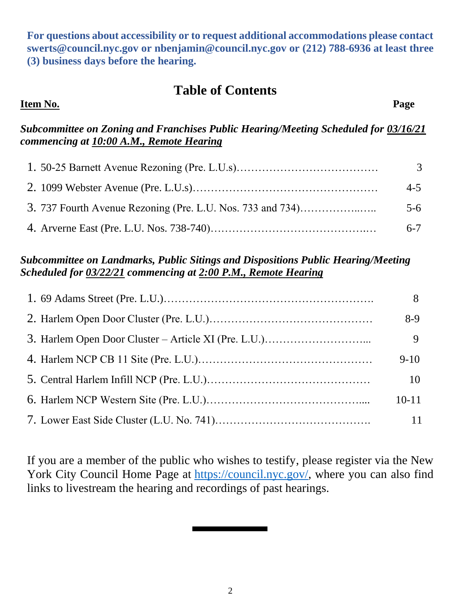**For questions about accessibility or to request additional accommodations please contact [swerts@council.nyc.gov](mailto:swerts@council.nyc.gov) or [nbenjamin@council.nyc.gov](mailto:nbenjamin@council.nyc.gov) or (212) 788-6936 at least three (3) business days before the hearing.**

#### **Table of Contents**

#### **Item No. Page**

*Subcommittee on Zoning and Franchises Public Hearing/Meeting Scheduled for 03/16/21 commencing at 10:00 A.M., Remote Hearing*

|                                                            | 3       |
|------------------------------------------------------------|---------|
|                                                            | $4 - 5$ |
| 3. 737 Fourth Avenue Rezoning (Pre. L.U. Nos. 733 and 734) | $5-6$   |
|                                                            | $6 - 7$ |

#### *Subcommittee on Landmarks, Public Sitings and Dispositions Public Hearing/Meeting Scheduled for 03/22/21 commencing at 2:00 P.M., Remote Hearing*

| 8         |
|-----------|
| $8-9$     |
| 9         |
| $9-10$    |
| 10        |
| $10 - 11$ |
| 11        |

If you are a member of the public who wishes to testify, please register via the New York City Council Home Page at [https://council.nyc.gov/,](https://council.nyc.gov/) where you can also find links to livestream the hearing and recordings of past hearings.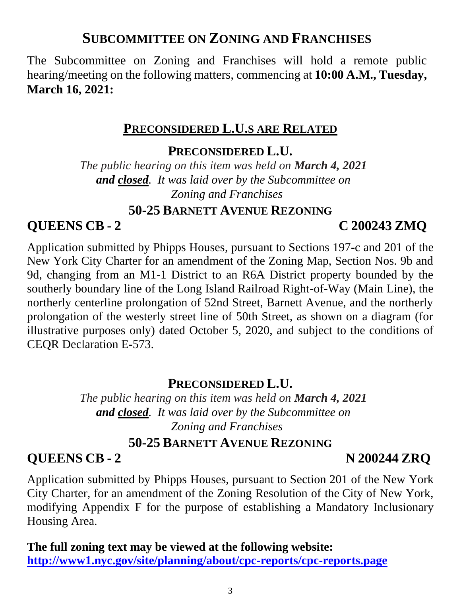# 3

#### **SUBCOMMITTEE ON ZONING AND FRANCHISES**

The Subcommittee on Zoning and Franchises will hold a remote public hearing/meeting on the following matters, commencing at **10:00 A.M., Tuesday, March 16, 2021:**

### **PRECONSIDERED L.U.S ARE RELATED**

### **PRECONSIDERED L.U.**

*The public hearing on this item was held on March 4, 2021 and closed. It was laid over by the Subcommittee on Zoning and Franchises*

#### **50-25 BARNETT AVENUE REZONING**

### **QUEENS CB - 2 C 200243 ZMQ**

Application submitted by Phipps Houses, pursuant to Sections 197-c and 201 of the New York City Charter for an amendment of the Zoning Map, Section Nos. 9b and 9d, changing from an M1-1 District to an R6A District property bounded by the southerly boundary line of the Long Island Railroad Right-of-Way (Main Line), the northerly centerline prolongation of 52nd Street, Barnett Avenue, and the northerly prolongation of the westerly street line of 50th Street, as shown on a diagram (for illustrative purposes only) dated October 5, 2020, and subject to the conditions of CEQR Declaration E-573.

### **PRECONSIDERED L.U.**

*The public hearing on this item was held on March 4, 2021 and closed. It was laid over by the Subcommittee on Zoning and Franchises*

### **50-25 BARNETT AVENUE REZONING**

### **QUEENS CB - 2 N 200244 ZRQ**

Application submitted by Phipps Houses, pursuant to Section 201 of the New York City Charter, for an amendment of the Zoning Resolution of the City of New York, modifying Appendix F for the purpose of establishing a Mandatory Inclusionary Housing Area.

**The full zoning text may be viewed at the following website: <http://www1.nyc.gov/site/planning/about/cpc-reports/cpc-reports.page>**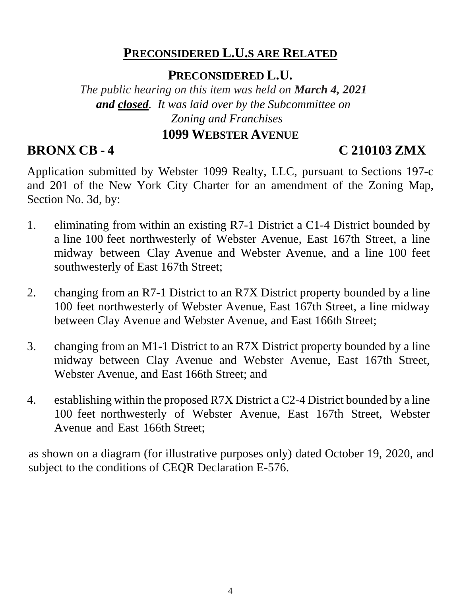#### **PRECONSIDERED L.U.S ARE RELATED**

#### **PRECONSIDERED L.U.**

*The public hearing on this item was held on March 4, 2021 and closed. It was laid over by the Subcommittee on Zoning and Franchises*

#### **1099 WEBSTER AVENUE**

### **BRONX CB - 4 C 210103 ZMX**

Application submitted by Webster 1099 Realty, LLC, pursuant to Sections 197-c and 201 of the New York City Charter for an amendment of the Zoning Map, Section No. 3d, by:

- 1. eliminating from within an existing R7-1 District a C1-4 District bounded by a line 100 feet northwesterly of Webster Avenue, East 167th Street, a line midway between Clay Avenue and Webster Avenue, and a line 100 feet southwesterly of East 167th Street;
- 2. changing from an R7-1 District to an R7X District property bounded by a line 100 feet northwesterly of Webster Avenue, East 167th Street, a line midway between Clay Avenue and Webster Avenue, and East 166th Street;
- 3. changing from an M1-1 District to an R7X District property bounded by a line midway between Clay Avenue and Webster Avenue, East 167th Street, Webster Avenue, and East 166th Street; and
- 4. establishing within the proposed R7X District a C2-4 District bounded by a line 100 feet northwesterly of Webster Avenue, East 167th Street, Webster Avenue and East 166th Street;

as shown on a diagram (for illustrative purposes only) dated October 19, 2020, and subject to the conditions of CEQR Declaration E-576.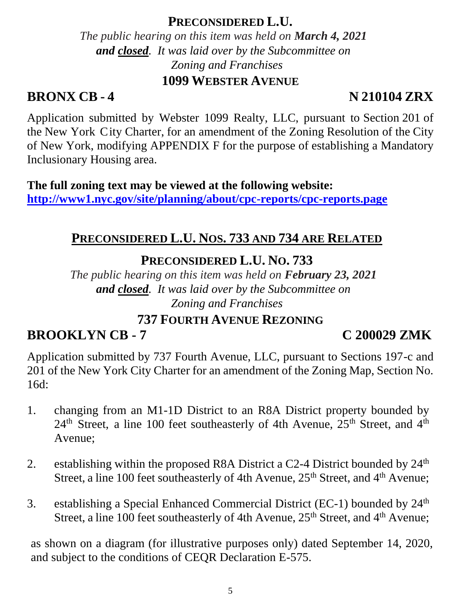#### **PRECONSIDERED L.U.**

*The public hearing on this item was held on March 4, 2021 and closed. It was laid over by the Subcommittee on Zoning and Franchises* **1099 WEBSTER AVENUE**

#### **BRONX CB - 4 N 210104 ZRX**

Application submitted by Webster 1099 Realty, LLC, pursuant to Section 201 of the New York City Charter, for an amendment of the Zoning Resolution of the City of New York, modifying APPENDIX F for the purpose of establishing a Mandatory Inclusionary Housing area.

**The full zoning text may be viewed at the following website: <http://www1.nyc.gov/site/planning/about/cpc-reports/cpc-reports.page>**

#### **PRECONSIDERED L.U. NOS. 733 AND 734 ARE RELATED**

#### **PRECONSIDERED L.U. NO. 733**

*The public hearing on this item was held on February 23, 2021 and closed. It was laid over by the Subcommittee on Zoning and Franchises*

#### **737 FOURTH AVENUE REZONING**

### **BROOKLYN CB - 7 C 200029 ZMK**

Application submitted by 737 Fourth Avenue, LLC, pursuant to Sections 197-c and 201 of the New York City Charter for an amendment of the Zoning Map, Section No. 16d:

- 1. changing from an M1-1D District to an R8A District property bounded by  $24<sup>th</sup>$  Street, a line 100 feet southeasterly of 4th Avenue,  $25<sup>th</sup>$  Street, and  $4<sup>th</sup>$ Avenue;
- 2. establishing within the proposed R8A District a C2-4 District bounded by 24<sup>th</sup> Street, a line 100 feet southeasterly of 4th Avenue, 25<sup>th</sup> Street, and 4<sup>th</sup> Avenue;
- 3. establishing a Special Enhanced Commercial District (EC-1) bounded by 24th Street, a line 100 feet southeasterly of 4th Avenue, 25<sup>th</sup> Street, and 4<sup>th</sup> Avenue;

as shown on a diagram (for illustrative purposes only) dated September 14, 2020, and subject to the conditions of CEQR Declaration E-575.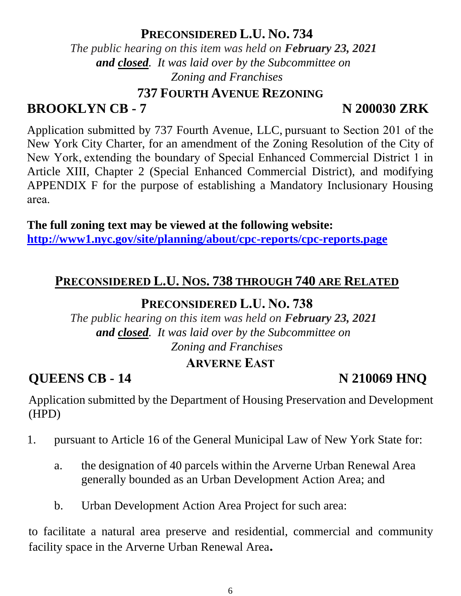#### **PRECONSIDERED L.U. NO. 734**

*The public hearing on this item was held on February 23, 2021 and closed. It was laid over by the Subcommittee on Zoning and Franchises*

#### **737 FOURTH AVENUE REZONING**

#### **BROOKLYN CB - 7** N 200030 ZRK

Application submitted by 737 Fourth Avenue, LLC, pursuant to Section 201 of the New York City Charter, for an amendment of the Zoning Resolution of the City of New York, extending the boundary of Special Enhanced Commercial District 1 in Article XIII, Chapter 2 (Special Enhanced Commercial District), and modifying APPENDIX F for the purpose of establishing a Mandatory Inclusionary Housing area. 

**The full zoning text may be viewed at the following website: <http://www1.nyc.gov/site/planning/about/cpc-reports/cpc-reports.page>**

#### **PRECONSIDERED L.U. NOS. 738 THROUGH 740 ARE RELATED**

#### **PRECONSIDERED L.U. NO. 738**

*The public hearing on this item was held on February 23, 2021 and closed. It was laid over by the Subcommittee on Zoning and Franchises*

#### **ARVERNE EAST**

**QUEENS CB - 14** N 210069 HNQ

Application submitted by the Department of Housing Preservation and Development (HPD)

- 1. pursuant to Article 16 of the General Municipal Law of New York State for:
	- a. the designation of 40 parcels within the Arverne Urban Renewal Area generally bounded as an Urban Development Action Area; and
	- b. Urban Development Action Area Project for such area:

to facilitate a natural area preserve and residential, commercial and community facility space in the Arverne Urban Renewal Area**.**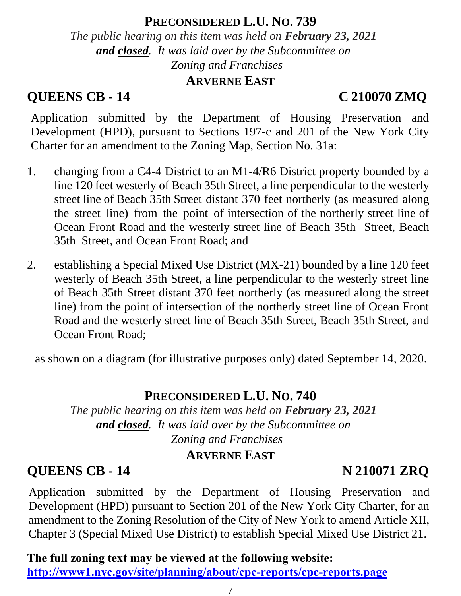#### **PRECONSIDERED L.U. NO. 739**

*The public hearing on this item was held on February 23, 2021 and closed. It was laid over by the Subcommittee on Zoning and Franchises*

#### **ARVERNE EAST**

### **QUEENS CB - 14 C 210070 ZMQ**

Application submitted by the Department of Housing Preservation and Development (HPD), pursuant to Sections 197-c and 201 of the New York City Charter for an amendment to the Zoning Map, Section No. 31a:

- 1. changing from a C4-4 District to an M1-4/R6 District property bounded by a line 120 feet westerly of Beach 35th Street, a line perpendicular to the westerly street line of Beach 35th Street distant 370 feet northerly (as measured along the street line) from the point of intersection of the northerly street line of Ocean Front Road and the westerly street line of Beach 35th Street, Beach 35th Street, and Ocean Front Road; and
- 2. establishing a Special Mixed Use District (MX-21) bounded by a line 120 feet westerly of Beach 35th Street, a line perpendicular to the westerly street line of Beach 35th Street distant 370 feet northerly (as measured along the street line) from the point of intersection of the northerly street line of Ocean Front Road and the westerly street line of Beach 35th Street, Beach 35th Street, and Ocean Front Road;

as shown on a diagram (for illustrative purposes only) dated September 14, 2020.

#### **PRECONSIDERED L.U. NO. 740**

*The public hearing on this item was held on February 23, 2021 and closed. It was laid over by the Subcommittee on Zoning and Franchises*

#### **ARVERNE EAST**

### **QUEENS CB - 14 N 210071 ZRQ**

Application submitted by the Department of Housing Preservation and Development (HPD) pursuant to Section 201 of the New York City Charter, for an amendment to the Zoning Resolution of the City of New York to amend Article XII, Chapter 3 (Special Mixed Use District) to establish Special Mixed Use District 21.

**The full zoning text may be viewed at the following website: <http://www1.nyc.gov/site/planning/about/cpc-reports/cpc-reports.page>**

#### 7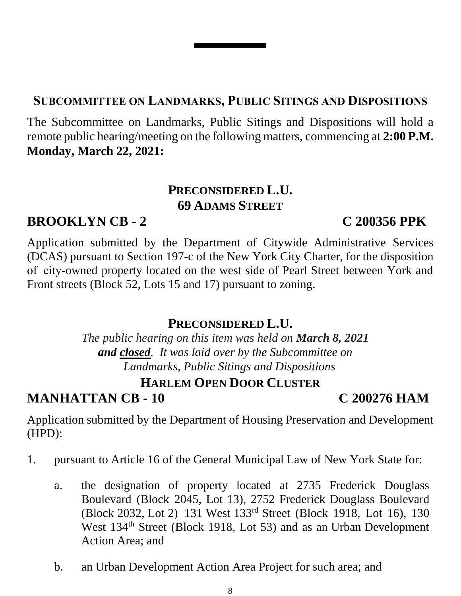8

#### **SUBCOMMITTEE ON LANDMARKS, PUBLIC SITINGS AND DISPOSITIONS**

The Subcommittee on Landmarks, Public Sitings and Dispositions will hold a remote public hearing/meeting on the following matters, commencing at **2:00 P.M. Monday, March 22, 2021:**

#### **PRECONSIDERED L.U. 69 ADAMS STREET**

#### **BROOKLYN CB - 2 C 200356 PPK**

Application submitted by the Department of Citywide Administrative Services (DCAS) pursuant to Section 197-c of the New York City Charter, for the disposition of  city-owned property located on the west side of Pearl Street between York and Front streets (Block 52, Lots 15 and 17) pursuant to zoning.

#### **PRECONSIDERED L.U.**

*The public hearing on this item was held on March 8, 2021 and closed. It was laid over by the Subcommittee on Landmarks, Public Sitings and Dispositions*

#### **HARLEM OPEN DOOR CLUSTER**

**MANHATTAN CB - 10 C 200276 HAM**

Application submitted by the Department of Housing Preservation and Development (HPD):

- 1. pursuant to Article 16 of the General Municipal Law of New York State for:
	- a. the designation of property located at 2735 Frederick Douglass Boulevard (Block 2045, Lot 13), 2752 Frederick Douglass Boulevard (Block 2032, Lot 2) 131 West 133rd Street (Block 1918, Lot 16), 130 West 134<sup>th</sup> Street (Block 1918, Lot 53) and as an Urban Development Action Area; and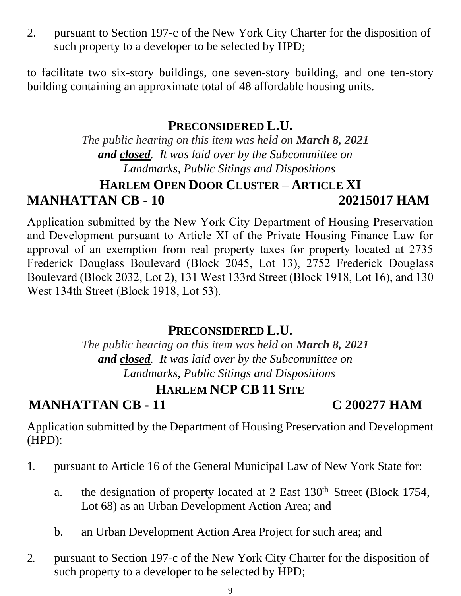2. pursuant to Section 197-c of the New York City Charter for the disposition of such property to a developer to be selected by HPD;

to facilitate two six-story buildings, one seven-story building, and one ten-story building containing an approximate total of 48 affordable housing units.

#### **PRECONSIDERED L.U.**

*The public hearing on this item was held on March 8, 2021 and closed. It was laid over by the Subcommittee on Landmarks, Public Sitings and Dispositions*

#### **HARLEM OPEN DOOR CLUSTER – ARTICLE XI MANHATTAN CB - 10 20215017 HAM**

Application submitted by the New York City Department of Housing Preservation and Development pursuant to Article XI of the Private Housing Finance Law for approval of an exemption from real property taxes for property located at 2735 Frederick Douglass Boulevard (Block 2045, Lot 13), 2752 Frederick Douglass Boulevard (Block 2032, Lot 2), 131 West 133rd Street (Block 1918, Lot 16), and 130 West 134th Street (Block 1918, Lot 53).

### **PRECONSIDERED L.U.**

*The public hearing on this item was held on March 8, 2021 and closed. It was laid over by the Subcommittee on Landmarks, Public Sitings and Dispositions*

### **HARLEM NCP CB 11 SITE**

Application submitted by the Department of Housing Preservation and Development (HPD):

- 1. pursuant to Article 16 of the General Municipal Law of New York State for:
	- a. the designation of property located at 2 East 130<sup>th</sup> Street (Block 1754, Lot 68) as an Urban Development Action Area; and
	- b. an Urban Development Action Area Project for such area; and

## **MANHATTAN CB - 11 C 200277 HAM**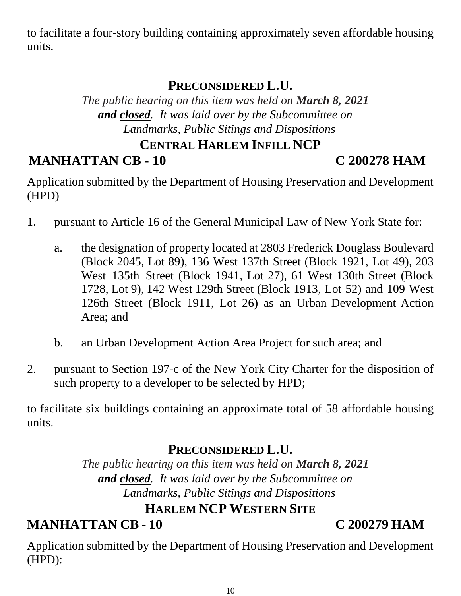to facilitate a four-story building containing approximately seven affordable housing units.

#### **PRECONSIDERED L.U.**

*The public hearing on this item was held on March 8, 2021 and closed. It was laid over by the Subcommittee on Landmarks, Public Sitings and Dispositions*

#### **CENTRAL HARLEM INFILL NCP**

#### **MANHATTAN CB - 10 C 200278 HAM**

Application submitted by the Department of Housing Preservation and Development (HPD)

- 1. pursuant to Article 16 of the General Municipal Law of New York State for:
	- a. the designation of property located at 2803 Frederick Douglass Boulevard (Block 2045, Lot 89), 136 West 137th Street (Block 1921, Lot 49), 203 West 135th Street (Block 1941, Lot 27), 61 West 130th Street (Block 1728, Lot 9), 142 West 129th Street (Block 1913, Lot 52) and 109 West 126th Street (Block 1911, Lot 26) as an Urban Development Action Area; and
	- b. an Urban Development Action Area Project for such area; and
- 2. pursuant to Section 197-c of the New York City Charter for the disposition of such property to a developer to be selected by HPD;

to facilitate six buildings containing an approximate total of 58 affordable housing units.

#### **PRECONSIDERED L.U.**

*The public hearing on this item was held on March 8, 2021 and closed. It was laid over by the Subcommittee on Landmarks, Public Sitings and Dispositions*

#### **HARLEM NCP WESTERN SITE**

**MANHATTAN CB - 10 C 200279 HAM**

Application submitted by the Department of Housing Preservation and Development (HPD):